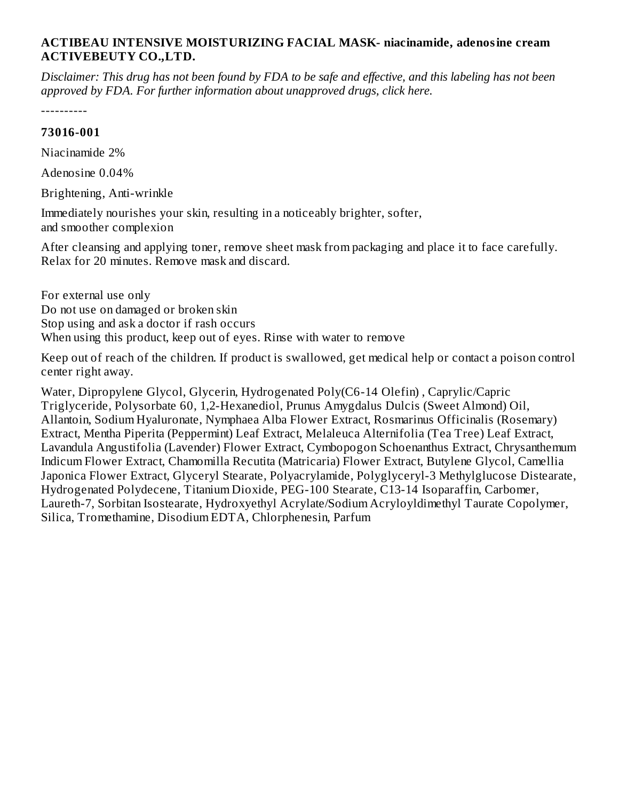## **ACTIBEAU INTENSIVE MOISTURIZING FACIAL MASK- niacinamide, adenosine cream ACTIVEBEUTY CO.,LTD.**

Disclaimer: This drug has not been found by FDA to be safe and effective, and this labeling has not been *approved by FDA. For further information about unapproved drugs, click here.*

----------

## **73016-001**

Niacinamide 2%

Adenosine 0.04%

Brightening, Anti-wrinkle

Immediately nourishes your skin, resulting in a noticeably brighter, softer, and smoother complexion

After cleansing and applying toner, remove sheet mask from packaging and place it to face carefully. Relax for 20 minutes. Remove mask and discard.

For external use only Do not use on damaged or broken skin Stop using and ask a doctor if rash occurs When using this product, keep out of eyes. Rinse with water to remove

Keep out of reach of the children. If product is swallowed, get medical help or contact a poison control center right away.

Water, Dipropylene Glycol, Glycerin, Hydrogenated Poly(C6-14 Olefin) , Caprylic/Capric Triglyceride, Polysorbate 60, 1,2-Hexanediol, Prunus Amygdalus Dulcis (Sweet Almond) Oil, Allantoin, Sodium Hyaluronate, Nymphaea Alba Flower Extract, Rosmarinus Officinalis (Rosemary) Extract, Mentha Piperita (Peppermint) Leaf Extract, Melaleuca Alternifolia (Tea Tree) Leaf Extract, Lavandula Angustifolia (Lavender) Flower Extract, Cymbopogon Schoenanthus Extract, Chrysanthemum Indicum Flower Extract, Chamomilla Recutita (Matricaria) Flower Extract, Butylene Glycol, Camellia Japonica Flower Extract, Glyceryl Stearate, Polyacrylamide, Polyglyceryl-3 Methylglucose Distearate, Hydrogenated Polydecene, Titanium Dioxide, PEG-100 Stearate, C13-14 Isoparaffin, Carbomer, Laureth-7, Sorbitan Isostearate, Hydroxyethyl Acrylate/Sodium Acryloyldimethyl Taurate Copolymer, Silica, Tromethamine, Disodium EDTA, Chlorphenesin, Parfum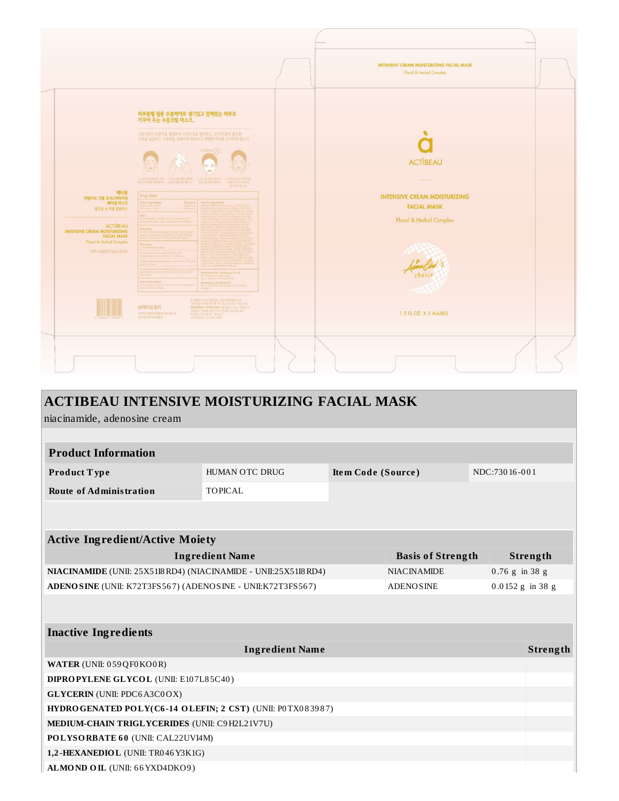|                                                                                                  |                                                                                                                                                                                                                                                                   | <b>INTENSIVE CREAM MOISTURIZING FACIAL MASK</b>           |
|--------------------------------------------------------------------------------------------------|-------------------------------------------------------------------------------------------------------------------------------------------------------------------------------------------------------------------------------------------------------------------|-----------------------------------------------------------|
|                                                                                                  |                                                                                                                                                                                                                                                                   | Floral & Herbal Complex                                   |
|                                                                                                  | 피부 <mark>층별 집중 수분케</mark> 어로 생기있고 탄력있는 피부로<br>가꾸어 주는 수분크림 마스크.                                                                                                                                                                                                    |                                                           |
|                                                                                                  | 수분크림이 유분막을 형성하여 수분손실을 방지하고, 전 피부층에 풍부한<br>수분을 공급하고 보유력을 강화하여 축축하고 탱탱한 피부를 유지하게 합니다.<br>$15 - 20$ min $\bigcirc$                                                                                                                                                   |                                                           |
|                                                                                                  |                                                                                                                                                                                                                                                                   | <b>ACTIBEAU</b>                                           |
|                                                                                                  |                                                                                                                                                                                                                                                                   |                                                           |
| 액티뷰<br>인텐시브 크림 모이스처라이징<br>페이셜 마스크<br>플로랄 & 허벌 몸플렉스                                               | <b>Drug Facts</b><br>Active Ingredients<br>Purposes<br>active Ingredients                                                                                                                                                                                         | <b>INTENSIVE CREAM MOISTURIZING</b><br><b>FACIAL MASK</b> |
|                                                                                                  | Jses:<br>A Immediately nourahes your skin, resulting in a                                                                                                                                                                                                         | Floral & Herbal Complex                                   |
| ACTIBEAU<br><b>INTENSIVE CREAM MOISTURIZING</b><br><b>FACIAL MASK</b><br>Floral & Herbal Complex | <b>Directions</b><br>A After cleansing and applying tones, remove should from packaging and place it to face coreful                                                                                                                                              |                                                           |
| 미백 • 주름개선 기능성 화장품                                                                                | Warnings<br>A Fer external use only<br>A Do not use on damaged or broken skin<br>A Stop using and ouk a doctor if rosh occurs                                                                                                                                     |                                                           |
|                                                                                                  | A When using this product, keep out of oyes. It<br>CHOPHINESIN PARTLIN<br>A Hoop out of reac<br>set medical help or carriact a Poison Control<br>Manufactured for Activeboatey Co., Ltd<br>yours trig<br>2, Masheonro, Seochogu,<br>eoul, Republic al Korea 06/70 | Anna Choice                                               |
|                                                                                                  | Other Information<br>Distributed by ACTIBEAU INC.<br>900 S FIGUEROA ST #1602 LCS ANGELES<br>A Protect the product in the                                                                                                                                          |                                                           |
| 809636 700054                                                                                    | 본 제품에 이상이 있을 경우, 공정기대위원회 고시<br>"소리지본질 해결기준이의 회기 보장 받으실 수 있습니다.<br>제절편해합과: 60행의 출시 이식시 문포먼 운모선로 291<br>제조인보 및 사용기안, 별도료<br>제조인보 및 사용기안, 별도료먼 운모선로 291<br>소비지성당실: 02-2057-8887<br>㈜액티브뷰티<br>www.activebeauty.co.kr<br>MADE IN KOREA                                 | 1.3 FL.OZ. X 5 MASKS                                      |
|                                                                                                  |                                                                                                                                                                                                                                                                   |                                                           |
|                                                                                                  |                                                                                                                                                                                                                                                                   |                                                           |
|                                                                                                  |                                                                                                                                                                                                                                                                   |                                                           |
|                                                                                                  |                                                                                                                                                                                                                                                                   |                                                           |

| <b>ACTIBEAU INTENSIVE MOISTURIZING FACIAL MASK</b>                             |                        |                                        |                          |                    |               |          |
|--------------------------------------------------------------------------------|------------------------|----------------------------------------|--------------------------|--------------------|---------------|----------|
| niacinamide, adenosine cream                                                   |                        |                                        |                          |                    |               |          |
|                                                                                |                        |                                        |                          |                    |               |          |
| <b>Product Information</b>                                                     |                        |                                        |                          |                    |               |          |
| Product Type                                                                   | HUMAN OTC DRUG         | Item Code (Source)                     |                          |                    | NDC:73016-001 |          |
| <b>Route of Administration</b>                                                 | <b>TOPICAL</b>         |                                        |                          |                    |               |          |
|                                                                                |                        |                                        |                          |                    |               |          |
|                                                                                |                        |                                        |                          |                    |               |          |
| <b>Active Ingredient/Active Moiety</b>                                         |                        |                                        |                          |                    |               |          |
| <b>Ingredient Name</b>                                                         |                        |                                        | <b>Basis of Strength</b> |                    |               | Strength |
| NIACINAMIDE (UNII: 25X51I8 RD4) (NIACINAMIDE - UNII:25X51I8 RD4)               |                        | $0.76$ g in 38 g<br><b>NIACINAMIDE</b> |                          |                    |               |          |
| ADENOSINE (UNII: K72T3FS567) (ADENOSINE - UNII:K72T3FS567)<br><b>ADENOSINE</b> |                        |                                        |                          | $0.0152$ g in 38 g |               |          |
|                                                                                |                        |                                        |                          |                    |               |          |
|                                                                                |                        |                                        |                          |                    |               |          |
| <b>Inactive Ingredients</b>                                                    |                        |                                        |                          |                    |               |          |
|                                                                                | <b>Ingredient Name</b> |                                        |                          |                    |               | Strength |
| WATER (UNII: 059QF0KO0R)                                                       |                        |                                        |                          |                    |               |          |
| DIPROPYLENE GLYCOL (UNII: E107L85C40)                                          |                        |                                        |                          |                    |               |          |
| <b>GLYCERIN</b> (UNII: PDC6A3C0OX)                                             |                        |                                        |                          |                    |               |          |
| HYDROGENATED POLY(C6-14 OLEFIN; 2 CST) (UNII: P0TX083987)                      |                        |                                        |                          |                    |               |          |
| <b>MEDIUM-CHAIN TRIGLYCERIDES (UNII: C9H2L21V7U)</b>                           |                        |                                        |                          |                    |               |          |
| POLYSORBATE 60 (UNII: CAL22UVI4M)                                              |                        |                                        |                          |                    |               |          |
| 1,2-HEXANEDIOL (UNII: TR046Y3K1G)                                              |                        |                                        |                          |                    |               |          |
| ALMOND OIL (UNII: 66YXD4DKO9)                                                  |                        |                                        |                          |                    |               |          |